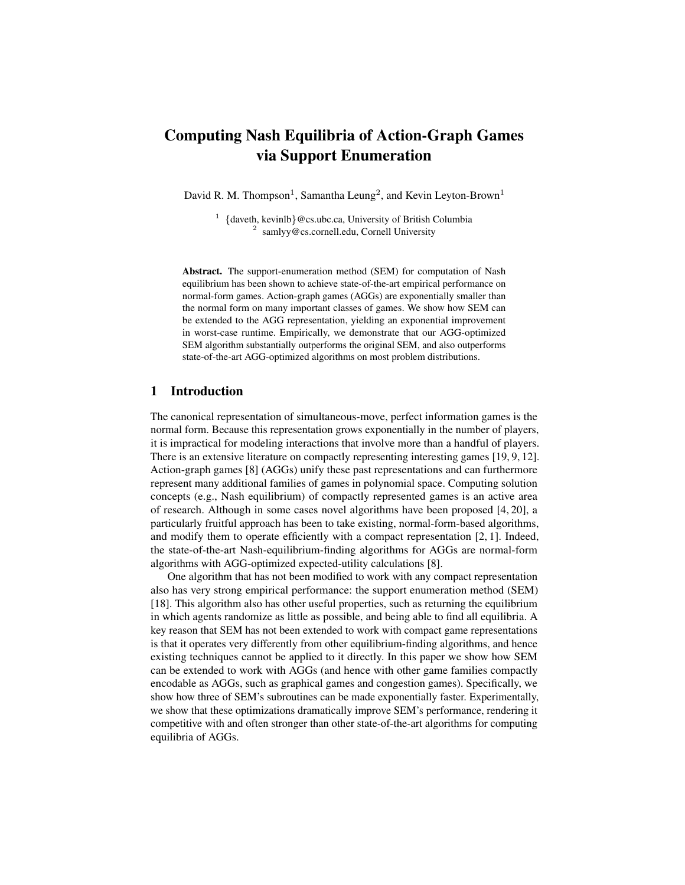# Computing Nash Equilibria of Action-Graph Games via Support Enumeration

David R. M. Thompson<sup>1</sup>, Samantha Leung<sup>2</sup>, and Kevin Leyton-Brown<sup>1</sup>

<sup>1</sup> {daveth, kevinlb}@cs.ubc.ca, University of British Columbia <sup>2</sup> samlyy@cs.cornell.edu, Cornell University

Abstract. The support-enumeration method (SEM) for computation of Nash equilibrium has been shown to achieve state-of-the-art empirical performance on normal-form games. Action-graph games (AGGs) are exponentially smaller than the normal form on many important classes of games. We show how SEM can be extended to the AGG representation, yielding an exponential improvement in worst-case runtime. Empirically, we demonstrate that our AGG-optimized SEM algorithm substantially outperforms the original SEM, and also outperforms state-of-the-art AGG-optimized algorithms on most problem distributions.

## 1 Introduction

The canonical representation of simultaneous-move, perfect information games is the normal form. Because this representation grows exponentially in the number of players, it is impractical for modeling interactions that involve more than a handful of players. There is an extensive literature on compactly representing interesting games [19, 9, 12]. Action-graph games [8] (AGGs) unify these past representations and can furthermore represent many additional families of games in polynomial space. Computing solution concepts (e.g., Nash equilibrium) of compactly represented games is an active area of research. Although in some cases novel algorithms have been proposed [4, 20], a particularly fruitful approach has been to take existing, normal-form-based algorithms, and modify them to operate efficiently with a compact representation [2, 1]. Indeed, the state-of-the-art Nash-equilibrium-finding algorithms for AGGs are normal-form algorithms with AGG-optimized expected-utility calculations [8].

One algorithm that has not been modified to work with any compact representation also has very strong empirical performance: the support enumeration method (SEM) [18]. This algorithm also has other useful properties, such as returning the equilibrium in which agents randomize as little as possible, and being able to find all equilibria. A key reason that SEM has not been extended to work with compact game representations is that it operates very differently from other equilibrium-finding algorithms, and hence existing techniques cannot be applied to it directly. In this paper we show how SEM can be extended to work with AGGs (and hence with other game families compactly encodable as AGGs, such as graphical games and congestion games). Specifically, we show how three of SEM's subroutines can be made exponentially faster. Experimentally, we show that these optimizations dramatically improve SEM's performance, rendering it competitive with and often stronger than other state-of-the-art algorithms for computing equilibria of AGGs.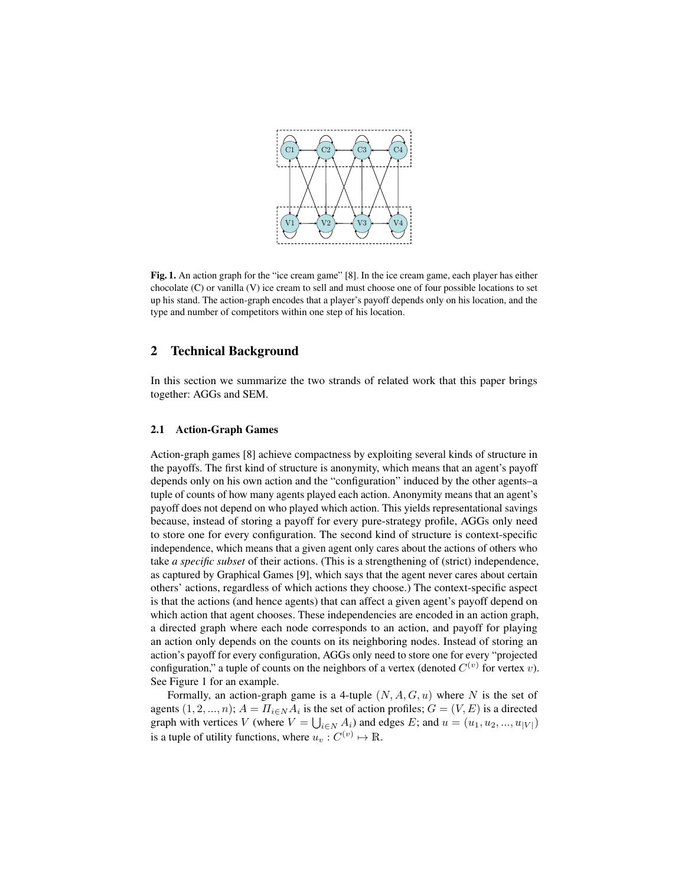

Fig. 1. An action graph for the "ice cream game" [8]. In the ice cream game, each player has either *locations along a beach. Vendors are of two kinds, chocolate and vanilla. Chocolate (vanilla) vendors are nega*ap instants. The action graph encodes that a player s payon deptype and number of competitors within one step of his location. chocolate (C) or vanilla (V) ice cream to sell and must choose one of four possible locations to set up his stand. The action-graph encodes that a player's payoff depends only on his location, and the

#### *vendors in the same or neighboring locations, and are simultaneously positively affected by the presence of nearby* 2 Technical Background

*context-specific independence without any strict independence, and that the graph structure is independent of* n*.* In this section we summarize the two strands of related work that this paper brings together: AGGs and SEM.

#### pactly represented as graphical games include: location  $\mathcal{L}, \mathbf{I}$  $T_{\rm eff}$  pure strategy best responses to a mixed strategy best responses to a mixed strategy best responses to a mixed strategy  $\alpha$ 2.1 Action-Graph Games

 $\mathcal{L}$  denote the set of all probability distributions over  $\mathcal{L}$  $\frac{1}{\sqrt{2}}$  to s others' actions, regardless of which actions they choose.) The context-specific aspect a directed graph where each node corresponds to an action, and payoff for playing  $\alpha$  $\overline{\phantom{a}}$  action for applying some of the concepts  $\overline{\phantom{a}}$  $\alpha$ agents are only we denote the set of  $S_{c}$ See Figure 1 for an example. of it pure and mixed strategy best responses to strategy best responses to  $\frac{1}{2}$ depends only on his own action and the "configuration" induced by the other agents–a tuple of counts of how many agents played each action. Anonymity means that an agent's payoff does not depend on who played which action. This yields representational savings independence, which means that a given agent only cares about the actions of others who as captured by Graphical Games [9], which says that the agent never cares about certain is that the actions (and hence agents) that can affect a given agent's payoff depend on which action that agent chooses. These independencies are encoded in an action graph, a action only depends on the counts on its neighboring nodes. Instead of storing an action only depends on the counts on its neighboring nodes. Instead of storing an action's payoff for every configuration, AGGs only need to store one for every "projected action's payoff for every configuration, AGGs only need to store one for every "projected configuration," a tuple of counts on the neighbors of a vertex (denoted  $C^{(v)}$  for vertex v). Action-graph games [8] achieve compactness by exploiting several kinds of structure in the payoffs. The first kind of structure is anonymity, which means that an agent's payoff because, instead of storing a payoff for every pure-strategy profile, AGGs only need to store one for every configuration. The second kind of structure is context-specific take *a specific subset* of their actions. (This is a strengthening of (strict) independence,

 $\Box$ i $\Box$ i $\Box$  $\mathop{\rm grad}\nolimits$  $f_{\rm f}$  is an overbar, we use an overbar, we use an overbar, we use an overbar, we use an overbar, we use an overbar, we use an overbar, we use an overbar, we use an overbar, we use an overbar, we use an overbar, we use  $\sum_{i \in N} P_i$  and  $\sum_{i \in N} P_i$  and  $\sum_{i \in N} P_i$  and  $\sum_{i \in N} P_i$  and  $\sum_{i \in N} P_i$ graph with vertices  $V$  (where  $V = \bigcup_{i \in N} A_i$ ) and edges  $E$ ; and  $u = (u_1, u_2, ..., u_{|V|})$ Formally, an action-graph game is a 4-tuple  $(N, A, G, u)$  where N is the set of agents  $(1, 2, ..., n)$ ;  $A = \prod_{i \in N} A_i$  is the set of action profiles;  $G = (V, E)$  is a directed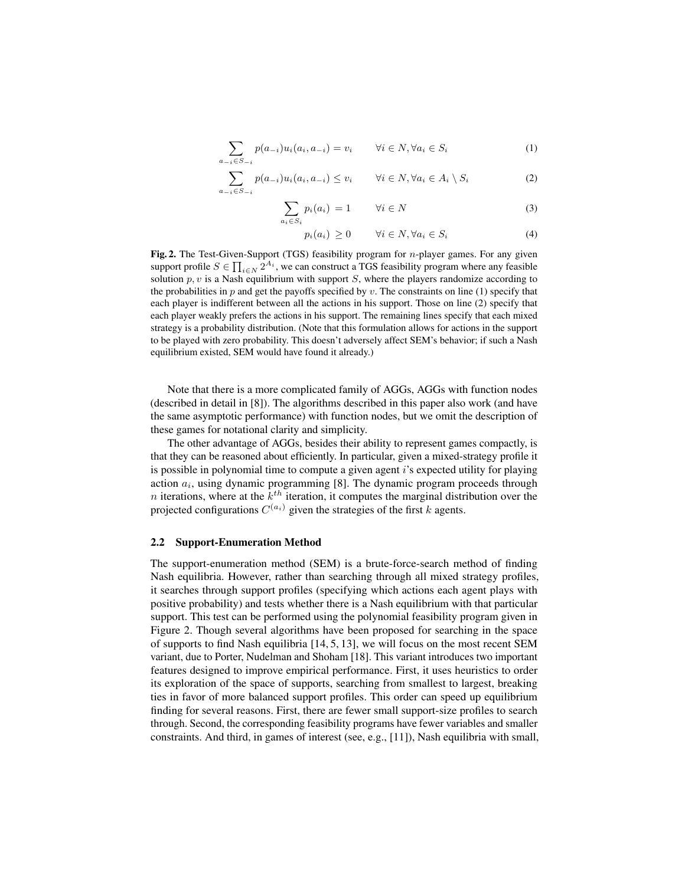$$
\sum_{a_{-i}\in S_{-i}} p(a_{-i})u_i(a_i,a_{-i}) = v_i \qquad \forall i \in N, \forall a_i \in S_i \tag{1}
$$

$$
\sum_{a_{-i}\in S_{-i}} p(a_{-i})u_i(a_i,a_{-i}) \le v_i \qquad \forall i \in N, \forall a_i \in A_i \setminus S_i
$$
 (2)

$$
\sum_{a_i \in S_i} p_i(a_i) = 1 \qquad \forall i \in N \tag{3}
$$

$$
p_i(a_i) \ge 0 \qquad \forall i \in N, \forall a_i \in S_i \tag{4}
$$

Fig. 2. The Test-Given-Support (TGS) feasibility program for  $n$ -player games. For any given support profile  $S \in \prod_{i \in N} 2^{A_i}$ , we can construct a TGS feasibility program where any feasible solution  $p, v$  is a Nash equilibrium with support  $S$ , where the players randomize according to the probabilities in p and get the payoffs specified by v. The constraints on line  $(1)$  specify that each player is indifferent between all the actions in his support. Those on line (2) specify that each player weakly prefers the actions in his support. The remaining lines specify that each mixed strategy is a probability distribution. (Note that this formulation allows for actions in the support to be played with zero probability. This doesn't adversely affect SEM's behavior; if such a Nash equilibrium existed, SEM would have found it already.)

Note that there is a more complicated family of AGGs, AGGs with function nodes (described in detail in [8]). The algorithms described in this paper also work (and have the same asymptotic performance) with function nodes, but we omit the description of these games for notational clarity and simplicity.

The other advantage of AGGs, besides their ability to represent games compactly, is that they can be reasoned about efficiently. In particular, given a mixed-strategy profile it is possible in polynomial time to compute a given agent  $i$ 's expected utility for playing action  $a_i$ , using dynamic programming [8]. The dynamic program proceeds through *n* iterations, where at the  $k^{th}$  iteration, it computes the marginal distribution over the projected configurations  $C^{(a_i)}$  given the strategies of the first k agents.

#### 2.2 Support-Enumeration Method

The support-enumeration method (SEM) is a brute-force-search method of finding Nash equilibria. However, rather than searching through all mixed strategy profiles, it searches through support profiles (specifying which actions each agent plays with positive probability) and tests whether there is a Nash equilibrium with that particular support. This test can be performed using the polynomial feasibility program given in Figure 2. Though several algorithms have been proposed for searching in the space of supports to find Nash equilibria [14, 5, 13], we will focus on the most recent SEM variant, due to Porter, Nudelman and Shoham [18]. This variant introduces two important features designed to improve empirical performance. First, it uses heuristics to order its exploration of the space of supports, searching from smallest to largest, breaking ties in favor of more balanced support profiles. This order can speed up equilibrium finding for several reasons. First, there are fewer small support-size profiles to search through. Second, the corresponding feasibility programs have fewer variables and smaller constraints. And third, in games of interest (see, e.g., [11]), Nash equilibria with small,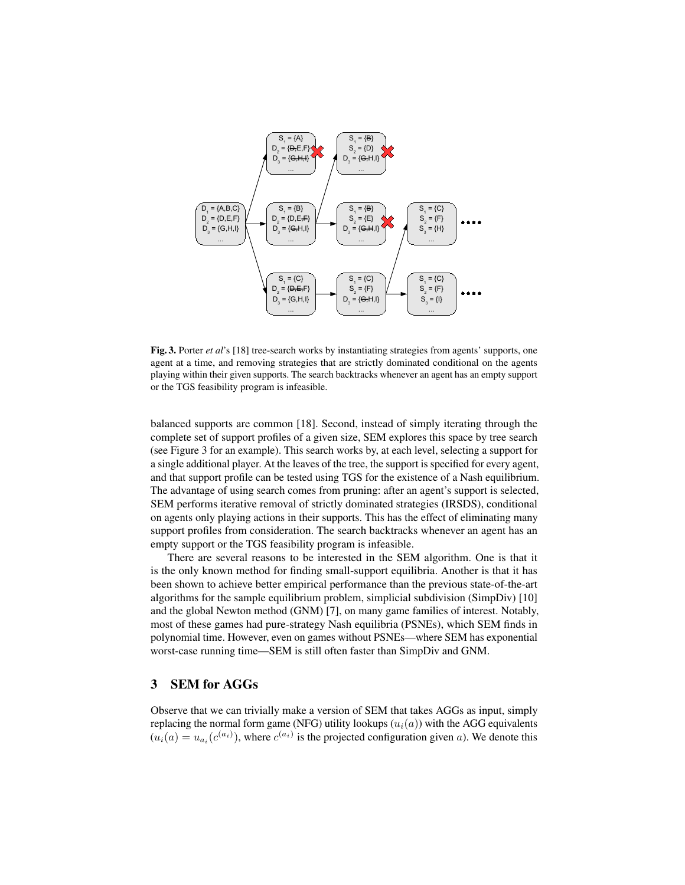

Fig. 3. Porter *et al*'s [18] tree-search works by instantiating strategies from agents' supports, one agent at a time, and removing strategies that are strictly dominated conditional on the agents playing within their given supports. The search backtracks whenever an agent has an empty support or the TGS feasibility program is infeasible.

balanced supports are common [18]. Second, instead of simply iterating through the complete set of support profiles of a given size, SEM explores this space by tree search (see Figure 3 for an example). This search works by, at each level, selecting a support for a single additional player. At the leaves of the tree, the support is specified for every agent, and that support profile can be tested using TGS for the existence of a Nash equilibrium. The advantage of using search comes from pruning: after an agent's support is selected, SEM performs iterative removal of strictly dominated strategies (IRSDS), conditional on agents only playing actions in their supports. This has the effect of eliminating many support profiles from consideration. The search backtracks whenever an agent has an empty support or the TGS feasibility program is infeasible.

There are several reasons to be interested in the SEM algorithm. One is that it is the only known method for finding small-support equilibria. Another is that it has been shown to achieve better empirical performance than the previous state-of-the-art algorithms for the sample equilibrium problem, simplicial subdivision (SimpDiv) [10] and the global Newton method (GNM) [7], on many game families of interest. Notably, most of these games had pure-strategy Nash equilibria (PSNEs), which SEM finds in polynomial time. However, even on games without PSNEs—where SEM has exponential worst-case running time—SEM is still often faster than SimpDiv and GNM.

# 3 SEM for AGGs

Observe that we can trivially make a version of SEM that takes AGGs as input, simply replacing the normal form game (NFG) utility lookups  $(u_i(a))$  with the AGG equivalents  $(u_i(a) = u_{a_i}(c^{(a_i)})$ , where  $c^{(a_i)}$  is the projected configuration given a). We denote this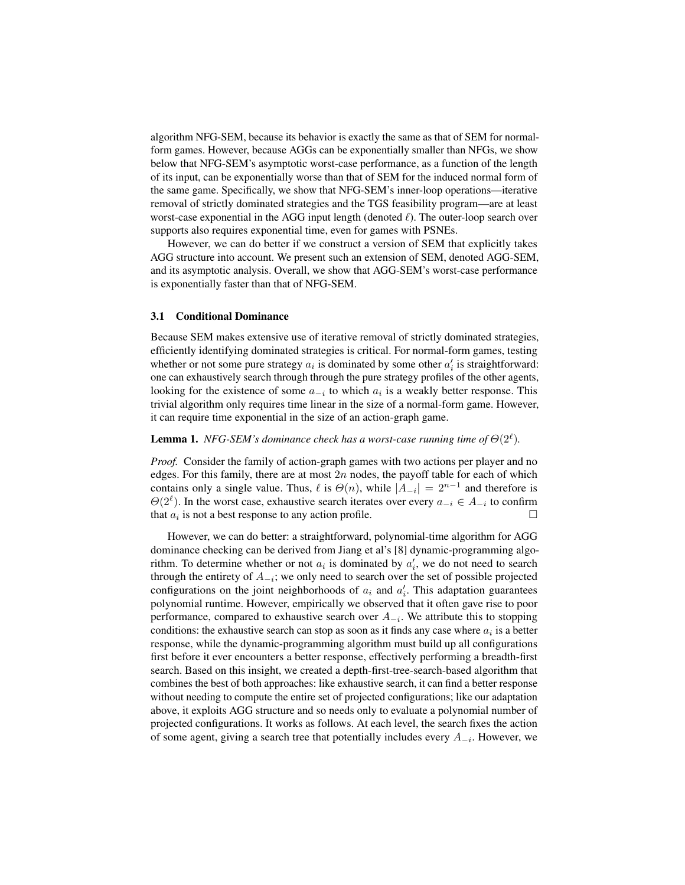algorithm NFG-SEM, because its behavior is exactly the same as that of SEM for normalform games. However, because AGGs can be exponentially smaller than NFGs, we show below that NFG-SEM's asymptotic worst-case performance, as a function of the length of its input, can be exponentially worse than that of SEM for the induced normal form of the same game. Specifically, we show that NFG-SEM's inner-loop operations—iterative removal of strictly dominated strategies and the TGS feasibility program—are at least worst-case exponential in the AGG input length (denoted  $\ell$ ). The outer-loop search over supports also requires exponential time, even for games with PSNEs.

However, we can do better if we construct a version of SEM that explicitly takes AGG structure into account. We present such an extension of SEM, denoted AGG-SEM, and its asymptotic analysis. Overall, we show that AGG-SEM's worst-case performance is exponentially faster than that of NFG-SEM.

#### 3.1 Conditional Dominance

Because SEM makes extensive use of iterative removal of strictly dominated strategies, efficiently identifying dominated strategies is critical. For normal-form games, testing whether or not some pure strategy  $a_i$  is dominated by some other  $a'_i$  is straightforward: one can exhaustively search through through the pure strategy profiles of the other agents, looking for the existence of some  $a_{-i}$  to which  $a_i$  is a weakly better response. This trivial algorithm only requires time linear in the size of a normal-form game. However, it can require time exponential in the size of an action-graph game.

# **Lemma 1.** *NFG-SEM's dominance check has a worst-case running time of*  $\Theta(2^{\ell})$ .

*Proof.* Consider the family of action-graph games with two actions per player and no edges. For this family, there are at most  $2n$  nodes, the payoff table for each of which contains only a single value. Thus,  $\ell$  is  $\Theta(n)$ , while  $|A_{-i}| = 2^{n-1}$  and therefore is  $\Theta(2^{\ell})$ . In the worst case, exhaustive search iterates over every  $a_{-i} \in A_{-i}$  to confirm that  $a_i$  is not a best response to any action profile.

However, we can do better: a straightforward, polynomial-time algorithm for AGG dominance checking can be derived from Jiang et al's [8] dynamic-programming algorithm. To determine whether or not  $a_i$  is dominated by  $a'_i$ , we do not need to search through the entirety of  $A_{-i}$ ; we only need to search over the set of possible projected configurations on the joint neighborhoods of  $a_i$  and  $a'_i$ . This adaptation guarantees polynomial runtime. However, empirically we observed that it often gave rise to poor performance, compared to exhaustive search over  $A_{-i}$ . We attribute this to stopping conditions: the exhaustive search can stop as soon as it finds any case where  $a_i$  is a better response, while the dynamic-programming algorithm must build up all configurations first before it ever encounters a better response, effectively performing a breadth-first search. Based on this insight, we created a depth-first-tree-search-based algorithm that combines the best of both approaches: like exhaustive search, it can find a better response without needing to compute the entire set of projected configurations; like our adaptation above, it exploits AGG structure and so needs only to evaluate a polynomial number of projected configurations. It works as follows. At each level, the search fixes the action of some agent, giving a search tree that potentially includes every  $A_{-i}$ . However, we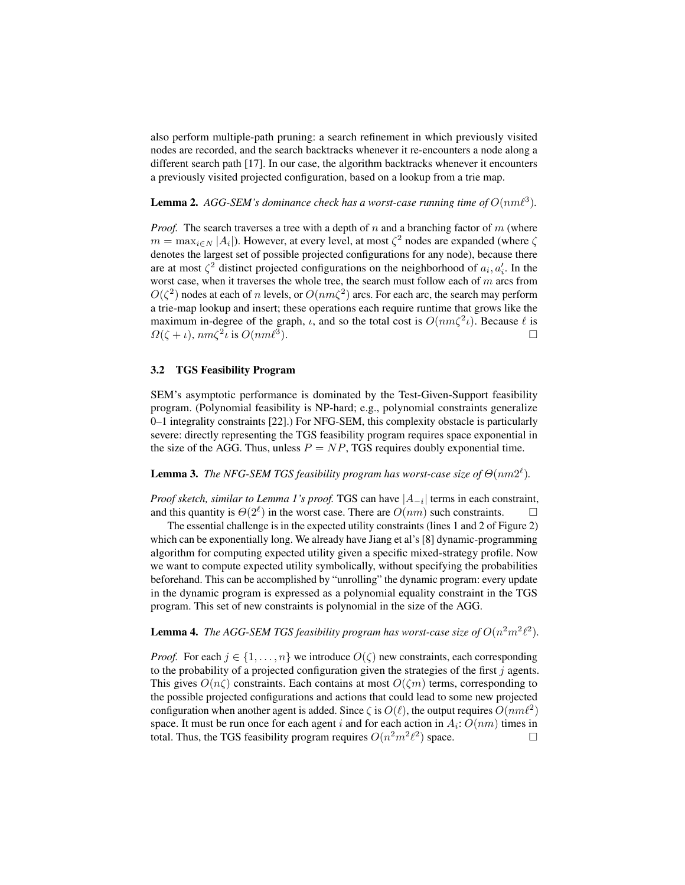also perform multiple-path pruning: a search refinement in which previously visited nodes are recorded, and the search backtracks whenever it re-encounters a node along a different search path [17]. In our case, the algorithm backtracks whenever it encounters a previously visited projected configuration, based on a lookup from a trie map.

# **Lemma 2.** AGG-SEM's dominance check has a worst-case running time of  $O(nm\ell^3)$ .

*Proof.* The search traverses a tree with a depth of  $n$  and a branching factor of  $m$  (where  $m = \max_{i \in N} |A_i|$ ). However, at every level, at most  $\zeta^2$  nodes are expanded (where  $\zeta$ denotes the largest set of possible projected configurations for any node), because there are at most  $\zeta^2$  distinct projected configurations on the neighborhood of  $a_i, a'_i$ . In the worst case, when it traverses the whole tree, the search must follow each of  $m$  arcs from  $O(\zeta^2)$  nodes at each of n levels, or  $O(nm\zeta^2)$  arcs. For each arc, the search may perform a trie-map lookup and insert; these operations each require runtime that grows like the maximum in-degree of the graph,  $\iota$ , and so the total cost is  $O(nm\zeta^2 \iota)$ . Because  $\ell$  is  $\Omega(\zeta + \iota)$ ,  $nm\zeta^2\iota$  is  $O(nm\ell^3)$ ).

#### 3.2 TGS Feasibility Program

SEM's asymptotic performance is dominated by the Test-Given-Support feasibility program. (Polynomial feasibility is NP-hard; e.g., polynomial constraints generalize 0–1 integrality constraints [22].) For NFG-SEM, this complexity obstacle is particularly severe: directly representing the TGS feasibility program requires space exponential in the size of the AGG. Thus, unless  $P = NP$ , TGS requires doubly exponential time.

# **Lemma 3.** The NFG-SEM TGS feasibility program has worst-case size of  $\Theta(nm2^{\ell})$ .

*Proof sketch, similar to Lemma 1's proof.* TGS can have |A<sub>−i</sub>| terms in each constraint, and this quantity is  $\Theta(2^{\ell})$  in the worst case. There are  $O(nm)$  such constraints.  $\square$ 

The essential challenge is in the expected utility constraints (lines 1 and 2 of Figure 2) which can be exponentially long. We already have Jiang et al's [8] dynamic-programming algorithm for computing expected utility given a specific mixed-strategy profile. Now we want to compute expected utility symbolically, without specifying the probabilities beforehand. This can be accomplished by "unrolling" the dynamic program: every update in the dynamic program is expressed as a polynomial equality constraint in the TGS program. This set of new constraints is polynomial in the size of the AGG.

# **Lemma 4.** The AGG-SEM TGS feasibility program has worst-case size of  $O(n^2m^2\ell^2)$ .

*Proof.* For each  $j \in \{1, ..., n\}$  we introduce  $O(\zeta)$  new constraints, each corresponding to the probability of a projected configuration given the strategies of the first  $j$  agents. This gives  $O(n\zeta)$  constraints. Each contains at most  $O(\zeta m)$  terms, corresponding to the possible projected configurations and actions that could lead to some new projected configuration when another agent is added. Since  $\zeta$  is  $O(\ell)$ , the output requires  $O(nm\ell^2)$ space. It must be run once for each agent i and for each action in  $A_i$ :  $O(nm)$  times in total. Thus, the TGS feasibility program requires  $O(n^2m^2\ell^2)$  space.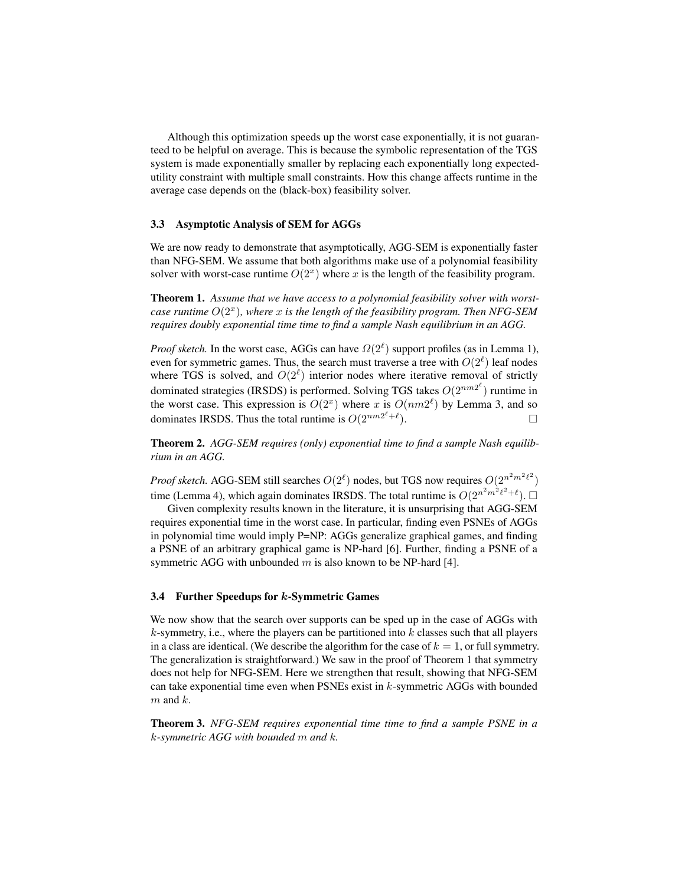Although this optimization speeds up the worst case exponentially, it is not guaranteed to be helpful on average. This is because the symbolic representation of the TGS system is made exponentially smaller by replacing each exponentially long expectedutility constraint with multiple small constraints. How this change affects runtime in the average case depends on the (black-box) feasibility solver.

#### 3.3 Asymptotic Analysis of SEM for AGGs

We are now ready to demonstrate that asymptotically, AGG-SEM is exponentially faster than NFG-SEM. We assume that both algorithms make use of a polynomial feasibility solver with worst-case runtime  $O(2<sup>x</sup>)$  where x is the length of the feasibility program.

Theorem 1. *Assume that we have access to a polynomial feasibility solver with worstcase runtime* O(2<sup>x</sup> )*, where* x *is the length of the feasibility program. Then NFG-SEM requires doubly exponential time time to find a sample Nash equilibrium in an AGG.*

*Proof sketch.* In the worst case, AGGs can have  $\Omega(2^{\ell})$  support profiles (as in Lemma 1), even for symmetric games. Thus, the search must traverse a tree with  $O(2^{\ell})$  leaf nodes where TGS is solved, and  $O(2^{\ell})$  interior nodes where iterative removal of strictly dominated strategies (IRSDS) is performed. Solving TGS takes  $O(2^{nm2^{\ell}})$  runtime in the worst case. This expression is  $O(2<sup>x</sup>)$  where x is  $O(nm2<sup>\ell</sup>)$  by Lemma 3, and so dominates IRSDS. Thus the total runtime is  $O(2^{nm2^{\ell}+\ell}$ ).  $\qquad \qquad \Box$ 

Theorem 2. *AGG-SEM requires (only) exponential time to find a sample Nash equilibrium in an AGG.*

*Proof sketch.* AGG-SEM still searches  $O(2^{\ell})$  nodes, but TGS now requires  $O(2^{n^2m^2\ell^2})$ time (Lemma 4), which again dominates IRSDS. The total runtime is  $O(2^{n^2 m^2 \ell^2 + \ell})$ .

Given complexity results known in the literature, it is unsurprising that AGG-SEM requires exponential time in the worst case. In particular, finding even PSNEs of AGGs in polynomial time would imply P=NP: AGGs generalize graphical games, and finding a PSNE of an arbitrary graphical game is NP-hard [6]. Further, finding a PSNE of a symmetric AGG with unbounded  $m$  is also known to be NP-hard [4].

#### 3.4 Further Speedups for k-Symmetric Games

We now show that the search over supports can be sped up in the case of AGGs with  $k$ -symmetry, i.e., where the players can be partitioned into  $k$  classes such that all players in a class are identical. (We describe the algorithm for the case of  $k = 1$ , or full symmetry. The generalization is straightforward.) We saw in the proof of Theorem 1 that symmetry does not help for NFG-SEM. Here we strengthen that result, showing that NFG-SEM can take exponential time even when PSNEs exist in k-symmetric AGGs with bounded  $m$  and  $k$ .

Theorem 3. *NFG-SEM requires exponential time time to find a sample PSNE in a* k*-symmetric AGG with bounded* m *and* k*.*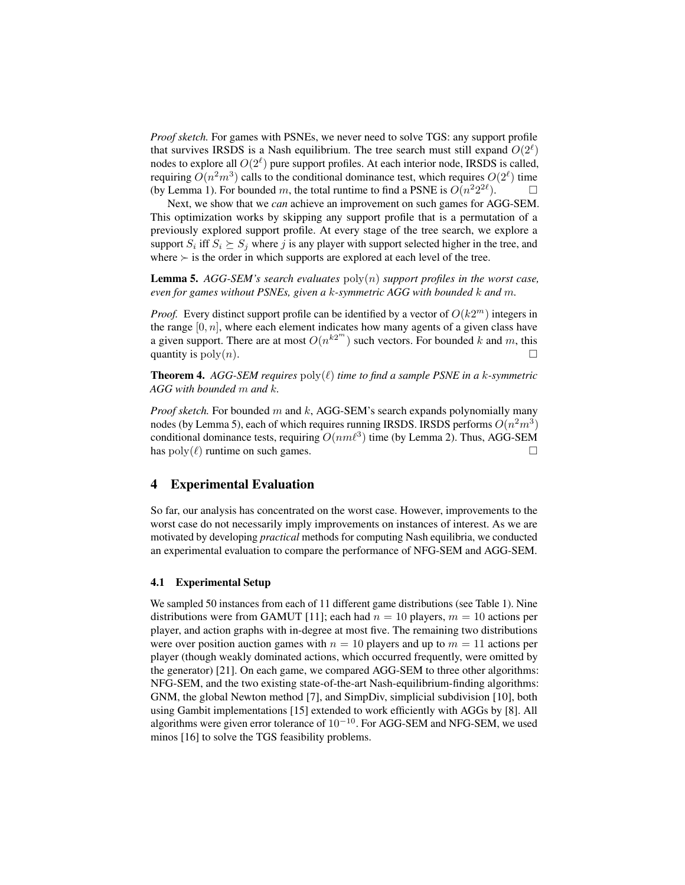*Proof sketch.* For games with PSNEs, we never need to solve TGS: any support profile that survives IRSDS is a Nash equilibrium. The tree search must still expand  $O(2^{\ell})$ nodes to explore all  $O(2^{\ell})$  pure support profiles. At each interior node, IRSDS is called, requiring  $O(n^2m^3)$  calls to the conditional dominance test, which requires  $O(2^\ell)$  time (by Lemma 1). For bounded m, the total runtime to find a PSNE is  $O(n^2 2^{2\ell})$ .

Next, we show that we *can* achieve an improvement on such games for AGG-SEM. This optimization works by skipping any support profile that is a permutation of a previously explored support profile. At every stage of the tree search, we explore a support  $S_i$  iff  $S_i \succeq S_j$  where j is any player with support selected higher in the tree, and where  $\succ$  is the order in which supports are explored at each level of the tree.

Lemma 5. *AGG-SEM's search evaluates* poly(n) *support profiles in the worst case, even for games without PSNEs, given a* k*-symmetric AGG with bounded* k *and* m*.*

*Proof.* Every distinct support profile can be identified by a vector of  $O(k2^m)$  integers in the range  $[0, n]$ , where each element indicates how many agents of a given class have a given support. There are at most  $O(n^{k2^m})$  such vectors. For bounded k and m, this quantity is  $\text{poly}(n)$ .

**Theorem 4.** *AGG-SEM requires*  $poly(\ell)$  *time to find a sample PSNE in a k-symmetric AGG with bounded* m *and* k*.*

*Proof sketch.* For bounded m and k, AGG-SEM's search expands polynomially many nodes (by Lemma 5), each of which requires running IRSDS. IRSDS performs  $O(n^2m^3)$ conditional dominance tests, requiring  $O(nm\ell^3)$  time (by Lemma 2). Thus, AGG-SEM has  $\text{poly}(\ell)$  runtime on such games.

# 4 Experimental Evaluation

So far, our analysis has concentrated on the worst case. However, improvements to the worst case do not necessarily imply improvements on instances of interest. As we are motivated by developing *practical* methods for computing Nash equilibria, we conducted an experimental evaluation to compare the performance of NFG-SEM and AGG-SEM.

### 4.1 Experimental Setup

We sampled 50 instances from each of 11 different game distributions (see Table 1). Nine distributions were from GAMUT [11]; each had  $n = 10$  players,  $m = 10$  actions per player, and action graphs with in-degree at most five. The remaining two distributions were over position auction games with  $n = 10$  players and up to  $m = 11$  actions per player (though weakly dominated actions, which occurred frequently, were omitted by the generator) [21]. On each game, we compared AGG-SEM to three other algorithms: NFG-SEM, and the two existing state-of-the-art Nash-equilibrium-finding algorithms: GNM, the global Newton method [7], and SimpDiv, simplicial subdivision [10], both using Gambit implementations [15] extended to work efficiently with AGGs by [8]. All algorithms were given error tolerance of  $10^{-10}$ . For AGG-SEM and NFG-SEM, we used minos [16] to solve the TGS feasibility problems.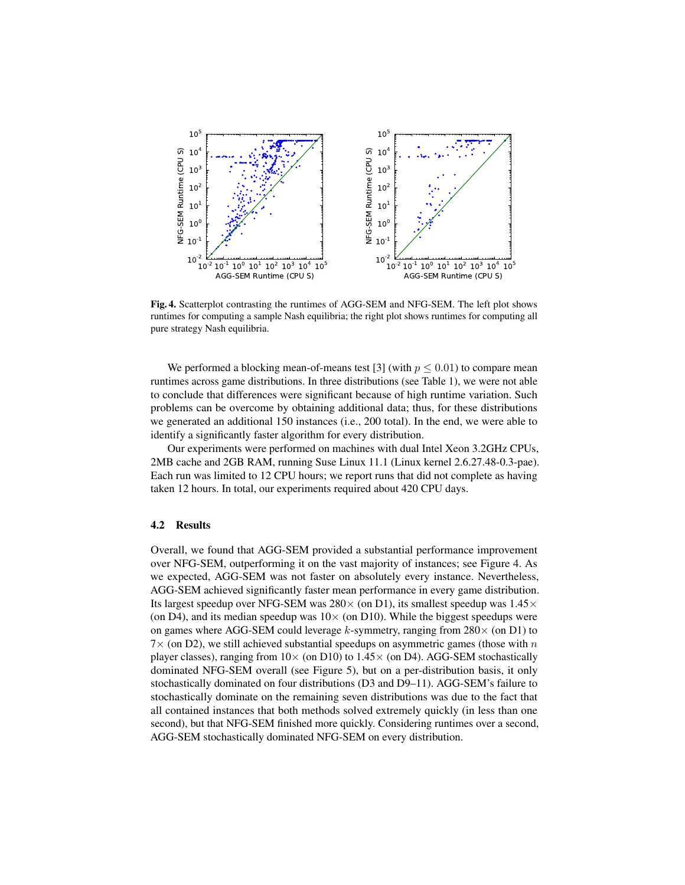

Fig. 4. Scatterplot contrasting the runtimes of AGG-SEM and NFG-SEM. The left plot shows runtimes for computing a sample Nash equilibria; the right plot shows runtimes for computing all pure strategy Nash equilibria.

We performed a blocking mean-of-means test [3] (with  $p \leq 0.01$ ) to compare mean runtimes across game distributions. In three distributions (see Table 1), we were not able to conclude that differences were significant because of high runtime variation. Such problems can be overcome by obtaining additional data; thus, for these distributions we generated an additional 150 instances (i.e., 200 total). In the end, we were able to identify a significantly faster algorithm for every distribution.

Our experiments were performed on machines with dual Intel Xeon 3.2GHz CPUs, 2MB cache and 2GB RAM, running Suse Linux 11.1 (Linux kernel 2.6.27.48-0.3-pae). Each run was limited to 12 CPU hours; we report runs that did not complete as having taken 12 hours. In total, our experiments required about 420 CPU days.

#### 4.2 Results

Overall, we found that AGG-SEM provided a substantial performance improvement over NFG-SEM, outperforming it on the vast majority of instances; see Figure 4. As we expected, AGG-SEM was not faster on absolutely every instance. Nevertheless, AGG-SEM achieved significantly faster mean performance in every game distribution. Its largest speedup over NFG-SEM was  $280\times$  (on D1), its smallest speedup was  $1.45\times$ (on D4), and its median speedup was  $10\times$  (on D10). While the biggest speedups were on games where AGG-SEM could leverage k-symmetry, ranging from  $280 \times$  (on D1) to  $7\times$  (on D2), we still achieved substantial speedups on asymmetric games (those with n player classes), ranging from  $10 \times$  (on D10) to  $1.45 \times$  (on D4). AGG-SEM stochastically dominated NFG-SEM overall (see Figure 5), but on a per-distribution basis, it only stochastically dominated on four distributions (D3 and D9–11). AGG-SEM's failure to stochastically dominate on the remaining seven distributions was due to the fact that all contained instances that both methods solved extremely quickly (in less than one second), but that NFG-SEM finished more quickly. Considering runtimes over a second, AGG-SEM stochastically dominated NFG-SEM on every distribution.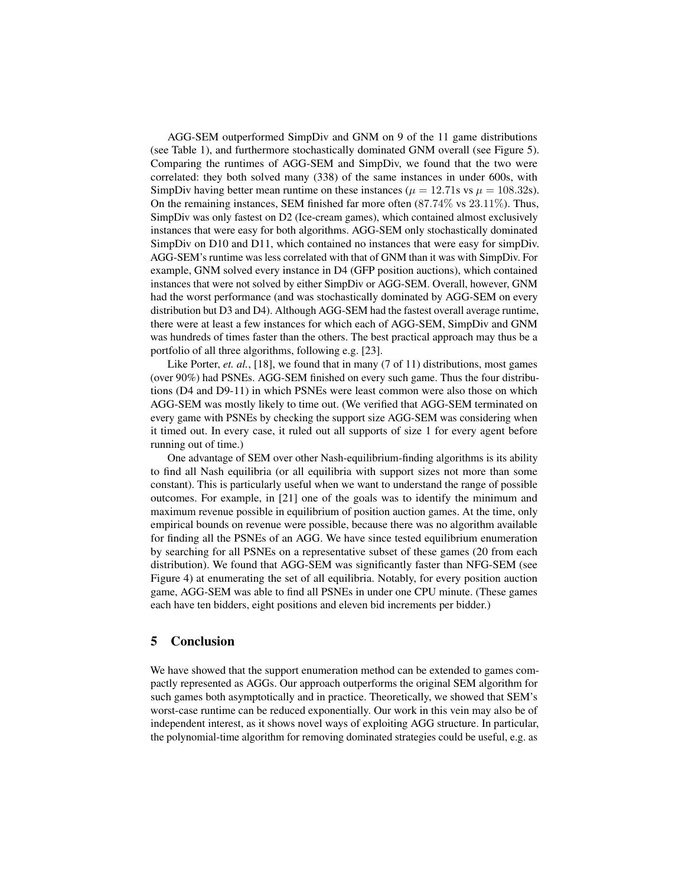AGG-SEM outperformed SimpDiv and GNM on 9 of the 11 game distributions (see Table 1), and furthermore stochastically dominated GNM overall (see Figure 5). Comparing the runtimes of AGG-SEM and SimpDiv, we found that the two were correlated: they both solved many (338) of the same instances in under 600s, with SimpDiv having better mean runtime on these instances ( $\mu = 12.71$ s vs  $\mu = 108.32$ s). On the remaining instances, SEM finished far more often (87.74% vs 23.11%). Thus, SimpDiv was only fastest on D2 (Ice-cream games), which contained almost exclusively instances that were easy for both algorithms. AGG-SEM only stochastically dominated SimpDiv on D10 and D11, which contained no instances that were easy for simpDiv. AGG-SEM's runtime was less correlated with that of GNM than it was with SimpDiv. For example, GNM solved every instance in D4 (GFP position auctions), which contained instances that were not solved by either SimpDiv or AGG-SEM. Overall, however, GNM had the worst performance (and was stochastically dominated by AGG-SEM on every distribution but D3 and D4). Although AGG-SEM had the fastest overall average runtime, there were at least a few instances for which each of AGG-SEM, SimpDiv and GNM was hundreds of times faster than the others. The best practical approach may thus be a portfolio of all three algorithms, following e.g. [23].

Like Porter, *et. al.*, [18], we found that in many (7 of 11) distributions, most games (over 90%) had PSNEs. AGG-SEM finished on every such game. Thus the four distributions (D4 and D9-11) in which PSNEs were least common were also those on which AGG-SEM was mostly likely to time out. (We verified that AGG-SEM terminated on every game with PSNEs by checking the support size AGG-SEM was considering when it timed out. In every case, it ruled out all supports of size 1 for every agent before running out of time.)

One advantage of SEM over other Nash-equilibrium-finding algorithms is its ability to find all Nash equilibria (or all equilibria with support sizes not more than some constant). This is particularly useful when we want to understand the range of possible outcomes. For example, in [21] one of the goals was to identify the minimum and maximum revenue possible in equilibrium of position auction games. At the time, only empirical bounds on revenue were possible, because there was no algorithm available for finding all the PSNEs of an AGG. We have since tested equilibrium enumeration by searching for all PSNEs on a representative subset of these games (20 from each distribution). We found that AGG-SEM was significantly faster than NFG-SEM (see Figure 4) at enumerating the set of all equilibria. Notably, for every position auction game, AGG-SEM was able to find all PSNEs in under one CPU minute. (These games each have ten bidders, eight positions and eleven bid increments per bidder.)

# 5 Conclusion

We have showed that the support enumeration method can be extended to games compactly represented as AGGs. Our approach outperforms the original SEM algorithm for such games both asymptotically and in practice. Theoretically, we showed that SEM's worst-case runtime can be reduced exponentially. Our work in this vein may also be of independent interest, as it shows novel ways of exploiting AGG structure. In particular, the polynomial-time algorithm for removing dominated strategies could be useful, e.g. as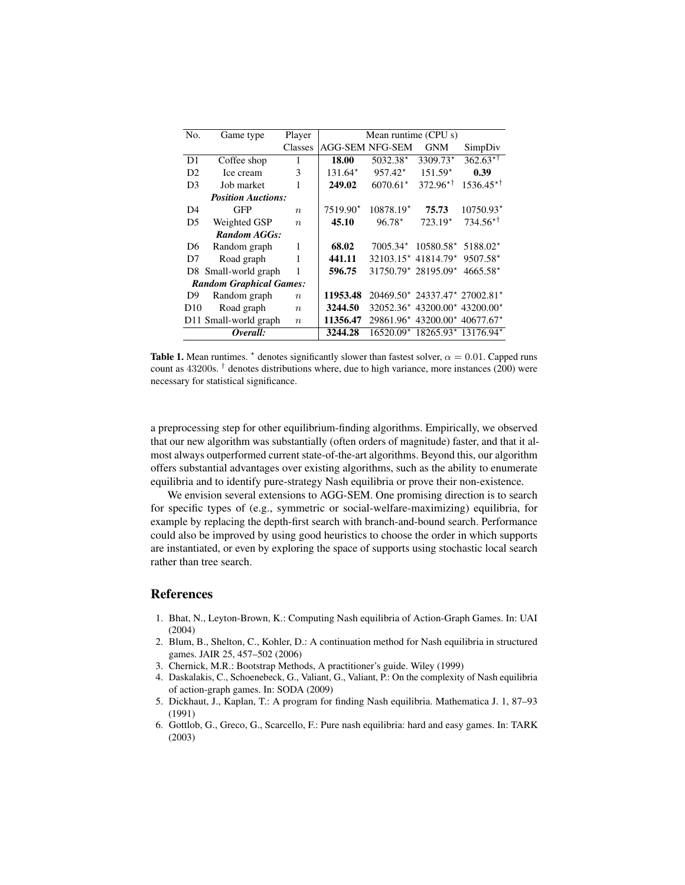| No.                       | Game type                      | Player           | Mean runtime (CPU s) |                               |              |                               |
|---------------------------|--------------------------------|------------------|----------------------|-------------------------------|--------------|-------------------------------|
|                           |                                | Classes          |                      | <b>AGG-SEM NFG-SEM</b>        | <b>GNM</b>   | SimpDiv                       |
| D1                        | Coffee shop                    | 1                | 18.00                | $5032.38*$                    | $3309.73*$   | $362.63*^{\dagger}$           |
| D <sub>2</sub>            | Ice cream                      | 3                | $131.64*$            | $957.42*$                     | $151.59*$    | 0.39                          |
| D <sub>3</sub>            | Job market                     | 1                | 249.02               | $6070.61*$                    | $372.96^{*}$ | $1536.45**$                   |
| <b>Position Auctions:</b> |                                |                  |                      |                               |              |                               |
| D <sub>4</sub>            | <b>GFP</b>                     | $\boldsymbol{n}$ | 7519.90*             | $10878.19*$                   | 75.73        | $10750.93*$                   |
| D5                        | Weighted GSP                   | $\boldsymbol{n}$ | 45.10                | $96.78*$                      | $723.19*$    | $734.56^{*}$ <sup>†</sup>     |
| Random AGGs:              |                                |                  |                      |                               |              |                               |
| D6                        | Random graph                   | 1                | 68.02                | $7005.34*$                    | $10580.58^*$ | 5188.02*                      |
| D7                        | Road graph                     | 1                | 441.11               | 32103.15* 41814.79*           |              | 9507.58*                      |
|                           | D8 Small-world graph           | 1                | 596.75               | 31750.79* 28195.09*           |              | $4665.58*$                    |
|                           | <b>Random Graphical Games:</b> |                  |                      |                               |              |                               |
| D9                        | Random graph                   | $\boldsymbol{n}$ | 11953.48             | 20469.50* 24337.47* 27002.81* |              |                               |
| D10                       | Road graph                     | $\boldsymbol{n}$ | 3244.50              | 32052.36* 43200.00* 43200.00* |              |                               |
|                           | D11 Small-world graph          | $\boldsymbol{n}$ | 11356.47             | 29861.96* 43200.00* 40677.67* |              |                               |
| Overall:                  |                                |                  | 3244.28              |                               |              | $16520.09*18265.93*13176.94*$ |

**Table 1.** Mean runtimes. \* denotes significantly slower than fastest solver,  $\alpha = 0.01$ . Capped runs count as 43200s. † denotes distributions where, due to high variance, more instances (200) were necessary for statistical significance.

a preprocessing step for other equilibrium-finding algorithms. Empirically, we observed that our new algorithm was substantially (often orders of magnitude) faster, and that it almost always outperformed current state-of-the-art algorithms. Beyond this, our algorithm offers substantial advantages over existing algorithms, such as the ability to enumerate equilibria and to identify pure-strategy Nash equilibria or prove their non-existence.

We envision several extensions to AGG-SEM. One promising direction is to search for specific types of (e.g., symmetric or social-welfare-maximizing) equilibria, for example by replacing the depth-first search with branch-and-bound search. Performance could also be improved by using good heuristics to choose the order in which supports are instantiated, or even by exploring the space of supports using stochastic local search rather than tree search.

### References

- 1. Bhat, N., Leyton-Brown, K.: Computing Nash equilibria of Action-Graph Games. In: UAI (2004)
- 2. Blum, B., Shelton, C., Kohler, D.: A continuation method for Nash equilibria in structured games. JAIR 25, 457–502 (2006)
- 3. Chernick, M.R.: Bootstrap Methods, A practitioner's guide. Wiley (1999)
- 4. Daskalakis, C., Schoenebeck, G., Valiant, G., Valiant, P.: On the complexity of Nash equilibria of action-graph games. In: SODA (2009)
- 5. Dickhaut, J., Kaplan, T.: A program for finding Nash equilibria. Mathematica J. 1, 87–93 (1991)
- 6. Gottlob, G., Greco, G., Scarcello, F.: Pure nash equilibria: hard and easy games. In: TARK (2003)